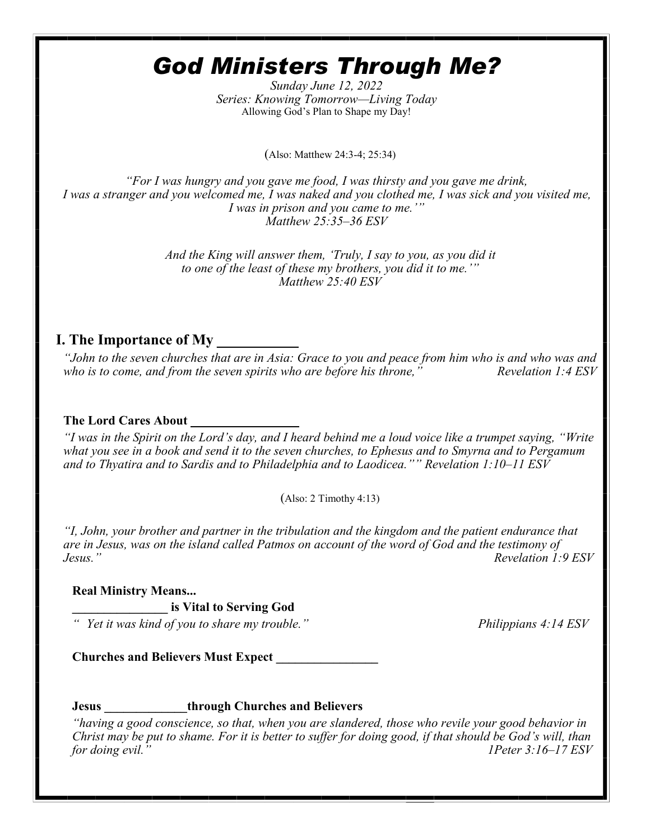# *God Ministers Through Me?*

*Sunday June 12, 2022 Series: Knowing Tomorrow—Living Today* Allowing God's Plan to Shape my Day!

(Also: Matthew 24:3-4; 25:34)

*"For I was hungry and you gave me food, I was thirsty and you gave me drink, I was a stranger and you welcomed me, I was naked and you clothed me, I was sick and you visited me, I was in prison and you came to me.'" Matthew 25:35–36 ESV*

> *And the King will answer them, 'Truly, I say to you, as you did it to one of the least of these my brothers, you did it to me.'" Matthew 25:40 ESV*

## **I. The Importance of My \_\_\_\_\_\_\_\_\_\_\_**

*"John to the seven churches that are in Asia: Grace to you and peace from him who is and who was and who is to come, and from the seven spirits who are before his throne," Revelation 1:4 ESV*

#### **The Lord Cares About \_\_\_\_\_\_\_\_\_\_\_\_\_\_\_\_\_**

*"I was in the Spirit on the Lord's day, and I heard behind me a loud voice like a trumpet saying, "Write what you see in a book and send it to the seven churches, to Ephesus and to Smyrna and to Pergamum and to Thyatira and to Sardis and to Philadelphia and to Laodicea."" Revelation 1:10–11 ESV* 

 $(Also: 2 Timothy 4:13)$ 

*"I, John, your brother and partner in the tribulation and the kingdom and the patient endurance that are in Jesus, was on the island called Patmos on account of the word of God and the testimony of Jesus." Revelation 1:9 ESV*

#### **Real Ministry Means...**

**\_\_\_\_\_\_\_\_\_\_\_\_\_\_\_ is Vital to Serving God**

*" Yet it was kind of you to share my trouble." Philippians 4:14 ESV*

**Churches and Believers Must Expect \_\_\_\_\_\_\_\_\_\_\_\_\_\_\_\_**

**Jesus \_\_\_\_\_\_\_\_\_\_\_\_\_through Churches and Believers** 

*"having a good conscience, so that, when you are slandered, those who revile your good behavior in Christ may be put to shame. For it is better to suffer for doing good, if that should be God's will, than for doing evil." 1Peter 3:16–17 ESV*